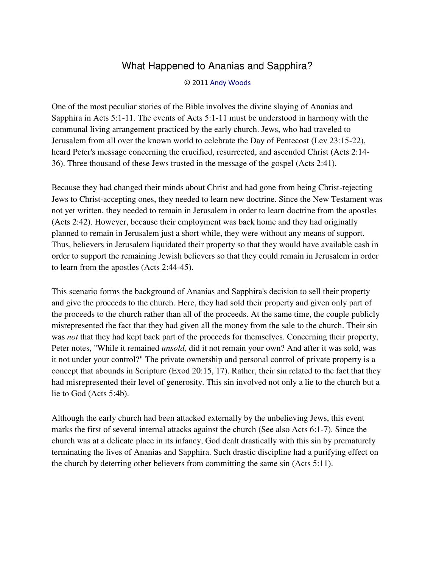## What Happened to Ananias and Sapphira?

## © 2011 [Andy Woods](http://www.spiritandtruth.org/id/aw.htm)

One of the most peculiar stories of the Bible involves the divine slaying of Ananias and Sapphira in Acts 5:1-11. The events of Acts 5:1-11 must be understood in harmony with the communal living arrangement practiced by the early church. Jews, who had traveled to Jerusalem from all over the known world to celebrate the Day of Pentecost (Lev 23:15-22), heard Peter's message concerning the crucified, resurrected, and ascended Christ (Acts 2:14- 36). Three thousand of these Jews trusted in the message of the gospel (Acts 2:41).

Because they had changed their minds about Christ and had gone from being Christ-rejecting Jews to Christ-accepting ones, they needed to learn new doctrine. Since the New Testament was not yet written, they needed to remain in Jerusalem in order to learn doctrine from the apostles (Acts 2:42). However, because their employment was back home and they had originally planned to remain in Jerusalem just a short while, they were without any means of support. Thus, believers in Jerusalem liquidated their property so that they would have available cash in order to support the remaining Jewish believers so that they could remain in Jerusalem in order to learn from the apostles (Acts 2:44-45).

This scenario forms the background of Ananias and Sapphira's decision to sell their property and give the proceeds to the church. Here, they had sold their property and given only part of the proceeds to the church rather than all of the proceeds. At the same time, the couple publicly misrepresented the fact that they had given all the money from the sale to the church. Their sin was *not* that they had kept back part of the proceeds for themselves. Concerning their property, Peter notes, "While it remained *unsold,* did it not remain your own? And after it was sold, was it not under your control?" The private ownership and personal control of private property is a concept that abounds in Scripture (Exod 20:15, 17). Rather, their sin related to the fact that they had misrepresented their level of generosity. This sin involved not only a lie to the church but a lie to God (Acts 5:4b).

Although the early church had been attacked externally by the unbelieving Jews, this event marks the first of several internal attacks against the church (See also Acts 6:1-7). Since the church was at a delicate place in its infancy, God dealt drastically with this sin by prematurely terminating the lives of Ananias and Sapphira. Such drastic discipline had a purifying effect on the church by deterring other believers from committing the same sin (Acts 5:11).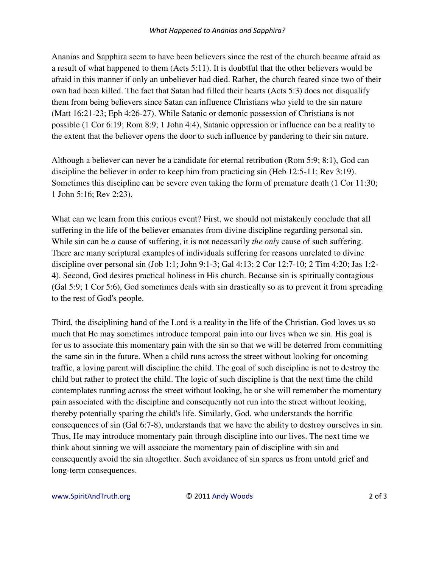## *What Happened to Ananias and Sapphira?*

Ananias and Sapphira seem to have been believers since the rest of the church became afraid as a result of what happened to them (Acts 5:11). It is doubtful that the other believers would be afraid in this manner if only an unbeliever had died. Rather, the church feared since two of their own had been killed. The fact that Satan had filled their hearts (Acts 5:3) does not disqualify them from being believers since Satan can influence Christians who yield to the sin nature (Matt 16:21-23; Eph 4:26-27). While Satanic or demonic possession of Christians is not possible (1 Cor 6:19; Rom 8:9; 1 John 4:4), Satanic oppression or influence can be a reality to the extent that the believer opens the door to such influence by pandering to their sin nature.

Although a believer can never be a candidate for eternal retribution (Rom 5:9; 8:1), God can discipline the believer in order to keep him from practicing sin (Heb 12:5-11; Rev 3:19). Sometimes this discipline can be severe even taking the form of premature death (1 Cor 11:30; 1 John 5:16; Rev 2:23).

What can we learn from this curious event? First, we should not mistakenly conclude that all suffering in the life of the believer emanates from divine discipline regarding personal sin. While sin can be *a* cause of suffering, it is not necessarily *the only* cause of such suffering. There are many scriptural examples of individuals suffering for reasons unrelated to divine discipline over personal sin (Job 1:1; John 9:1-3; Gal 4:13; 2 Cor 12:7-10; 2 Tim 4:20; Jas 1:2- 4). Second, God desires practical holiness in His church. Because sin is spiritually contagious (Gal 5:9; 1 Cor 5:6), God sometimes deals with sin drastically so as to prevent it from spreading to the rest of God's people.

Third, the disciplining hand of the Lord is a reality in the life of the Christian. God loves us so much that He may sometimes introduce temporal pain into our lives when we sin. His goal is for us to associate this momentary pain with the sin so that we will be deterred from committing the same sin in the future. When a child runs across the street without looking for oncoming traffic, a loving parent will discipline the child. The goal of such discipline is not to destroy the child but rather to protect the child. The logic of such discipline is that the next time the child contemplates running across the street without looking, he or she will remember the momentary pain associated with the discipline and consequently not run into the street without looking, thereby potentially sparing the child's life. Similarly, God, who understands the horrific consequences of sin (Gal 6:7-8), understands that we have the ability to destroy ourselves in sin. Thus, He may introduce momentary pain through discipline into our lives. The next time we think about sinning we will associate the momentary pain of discipline with sin and consequently avoid the sin altogether. Such avoidance of sin spares us from untold grief and long-term consequences.

www.SpiritAndTruth.org © 2011 Andy Woods 2 of 3